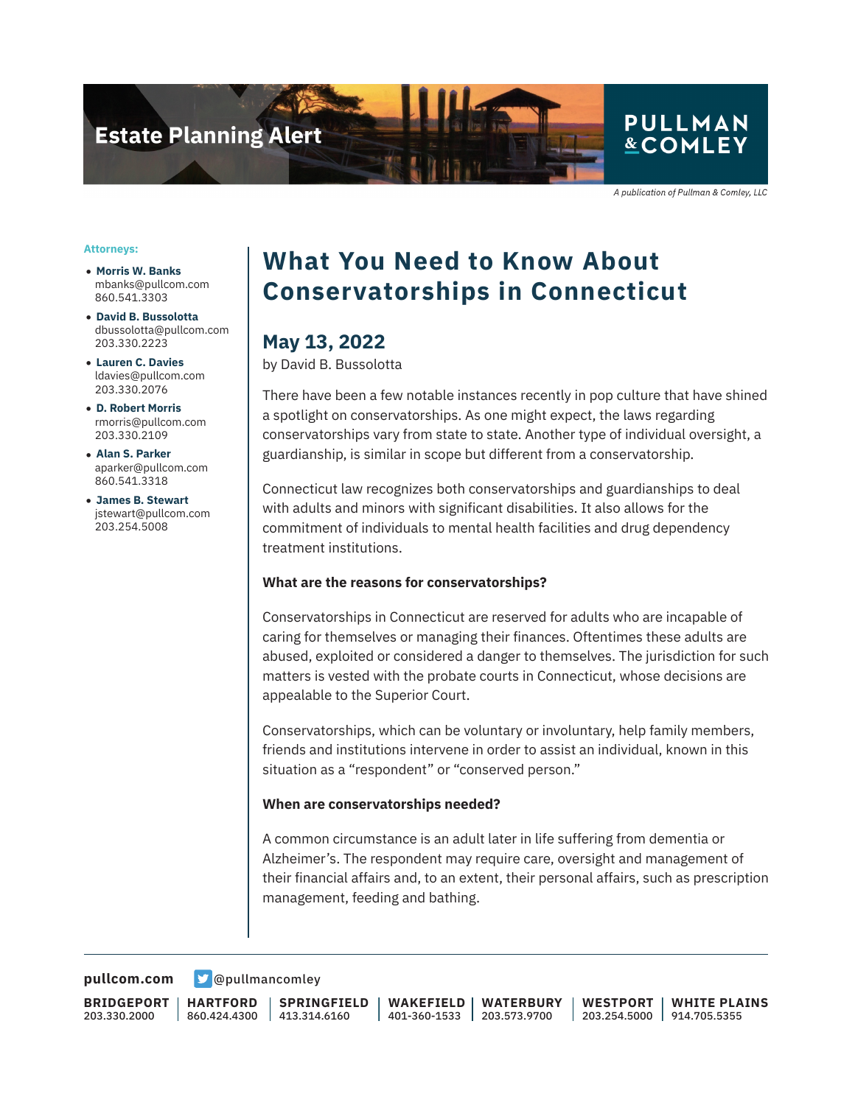

A publication of Pullman & Comley, LLC

#### **Attorneys:**

- **Morris W. Banks** mbanks@pullcom.com 860.541.3303
- **David B. Bussolotta** dbussolotta@pullcom.com 203.330.2223
- **Lauren C. Davies** ldavies@pullcom.com 203.330.2076
- **D. Robert Morris** rmorris@pullcom.com 203.330.2109
- **Alan S. Parker** aparker@pullcom.com 860.541.3318
- **James B. Stewart** jstewart@pullcom.com 203.254.5008

## **What You Need to Know About Conservatorships in Connecticut**

### **May 13, 2022**

by David B. Bussolotta

There have been a few notable instances recently in pop culture that have shined a spotlight on conservatorships. As one might expect, the laws regarding conservatorships vary from state to state. Another type of individual oversight, a guardianship, is similar in scope but different from a conservatorship.

Connecticut law recognizes both conservatorships and guardianships to deal with adults and minors with significant disabilities. It also allows for the commitment of individuals to mental health facilities and drug dependency treatment institutions.

#### **What are the reasons for conservatorships?**

Conservatorships in Connecticut are reserved for adults who are incapable of caring for themselves or managing their finances. Oftentimes these adults are abused, exploited or considered a danger to themselves. The jurisdiction for such matters is vested with the probate courts in Connecticut, whose decisions are appealable to the Superior Court.

Conservatorships, which can be voluntary or involuntary, help family members, friends and institutions intervene in order to assist an individual, known in this situation as a "respondent" or "conserved person."

#### **When are conservatorships needed?**

A common circumstance is an adult later in life suffering from dementia or Alzheimer's. The respondent may require care, oversight and management of their financial affairs and, to an extent, their personal affairs, such as prescription management, feeding and bathing.

**[pullcom.com](https://www.pullcom.com) g** [@pullmancomley](https://twitter.com/PullmanComley)

**BRIDGEPORT** 203.330.2000

**HARTFORD** 860.424.4300

**SPRINGFIELD** 413.314.6160

**WAKEFIELD** 401-360-1533 **WATERBURY** 203.573.9700

**WESTPORT** 203.254.5000 **WHITE PLAINS** 914.705.5355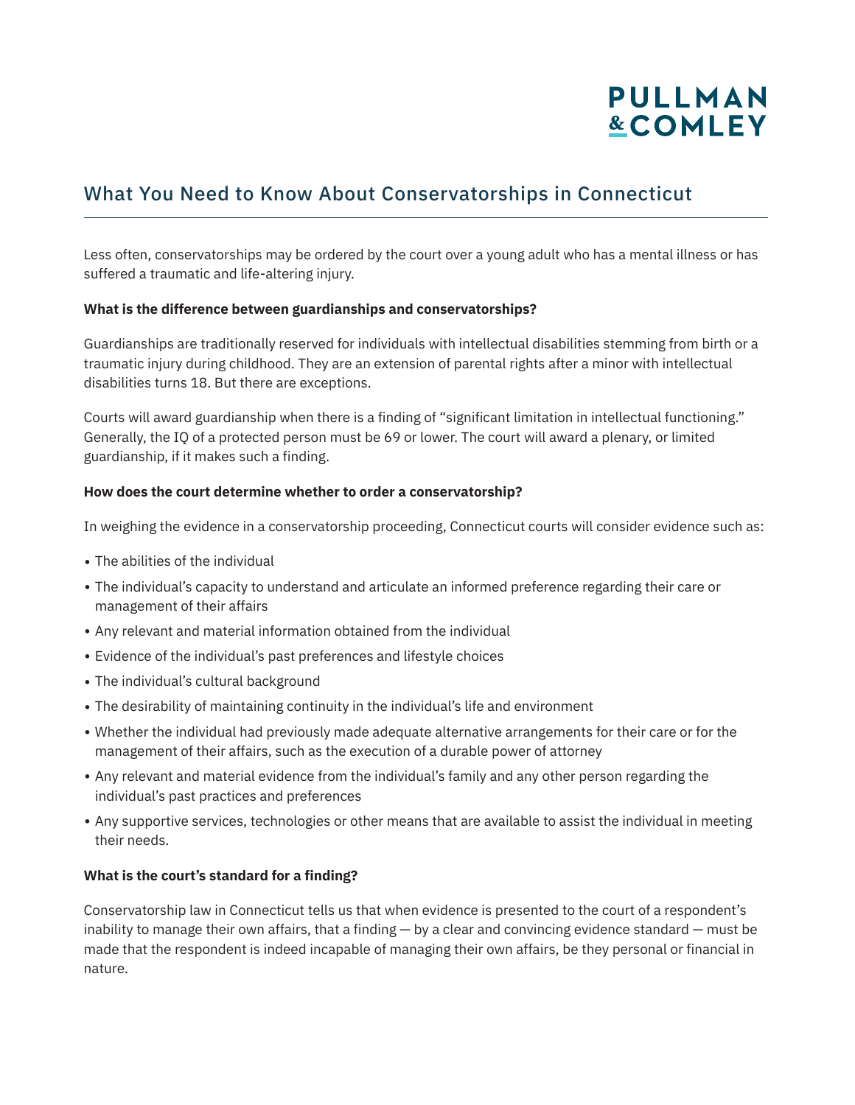# PULLMAN **&COMLEY**

## What You Need to Know About Conservatorships in Connecticut

Less often, conservatorships may be ordered by the court over a young adult who has a mental illness or has suffered a traumatic and life-altering injury.

### **What is the difference between guardianships and conservatorships?**

Guardianships are traditionally reserved for individuals with intellectual disabilities stemming from birth or a traumatic injury during childhood. They are an extension of parental rights after a minor with intellectual disabilities turns 18. But there are exceptions.

Courts will award guardianship when there is a finding of "significant limitation in intellectual functioning." Generally, the IQ of a protected person must be 69 or lower. The court will award a plenary, or limited guardianship, if it makes such a finding.

#### **How does the court determine whether to order a conservatorship?**

In weighing the evidence in a conservatorship proceeding, Connecticut courts will consider evidence such as:

- $\bullet$  The abilities of the individual
- The individual's capacity to understand and articulate an informed preference regarding their care or management of their affairs
- Any relevant and material information obtained from the individual
- Evidence of the individual's past preferences and lifestyle choices
- The individual's cultural background
- The desirability of maintaining continuity in the individual's life and environment
- Whether the individual had previously made adequate alternative arrangements for their care or for the management of their affairs, such as the execution of a durable power of attorney
- Any relevant and material evidence from the individual's family and any other person regarding the individual's past practices and preferences
- Any supportive services, technologies or other means that are available to assist the individual in meeting their needs.

### **What is the court's standard for a finding?**

Conservatorship law in Connecticut tells us that when evidence is presented to the court of a respondent's inability to manage their own affairs, that a finding — by a clear and convincing evidence standard — must be made that the respondent is indeed incapable of managing their own affairs, be they personal or financial in nature.